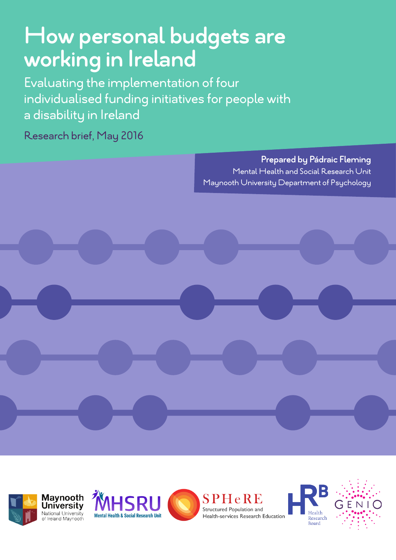# **How personal budgets are working in Ireland**

Evaluating the implementation of four individualised funding initiatives for people with a disability in Ireland

Research brief, May 2016

**Prepared by Pádraic Fleming**  Mental Health and Social Research Unit Maynooth University Department of Psychology











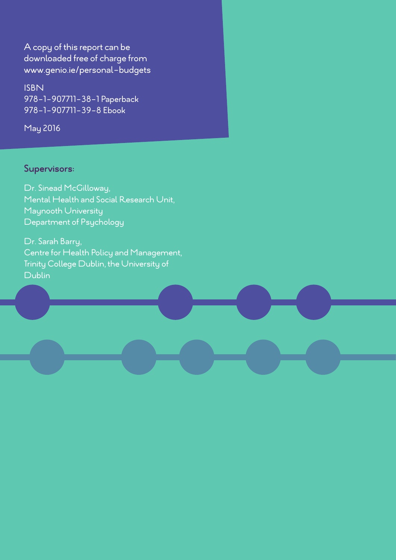A copy of this report can be downloaded free of charge from www.genio.ie/personal-budgets

ISBN 978-1-907711-38-1 Paperback 978-1-907711-39-8 Ebook

May 2016

#### **Supervisors:**

Dr. Sinead McGilloway, Mental Health and Social Research Unit, Maynooth University Department of Psychology

Dr. Sarah Barry, Centre for Health Policy and Management, Trinity College Dublin, the University of Dublin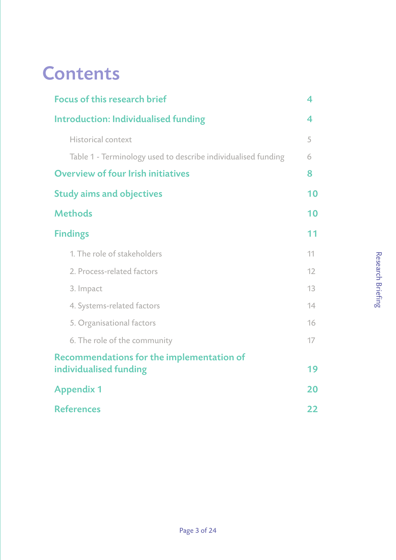# **Contents**

| <b>Focus of this research brief</b>                           | 4  |
|---------------------------------------------------------------|----|
| <b>Introduction: Individualised funding</b>                   | 4  |
| Historical context                                            | 5  |
| Table 1 - Terminology used to describe individualised funding | 6  |
| <b>Overview of four Irish initiatives</b>                     | 8  |
| <b>Study aims and objectives</b>                              | 10 |
| <b>Methods</b>                                                | 10 |
| <b>Findings</b>                                               | 11 |
| 1. The role of stakeholders                                   | 11 |
| 2. Process-related factors                                    | 12 |
| 3. Impact                                                     | 13 |
| 4. Systems-related factors                                    | 14 |
| 5. Organisational factors                                     | 16 |
| 6. The role of the community                                  | 17 |
| Recommendations for the implementation of                     |    |
| individualised funding                                        | 19 |
| <b>Appendix 1</b>                                             | 20 |
| <b>References</b>                                             | 22 |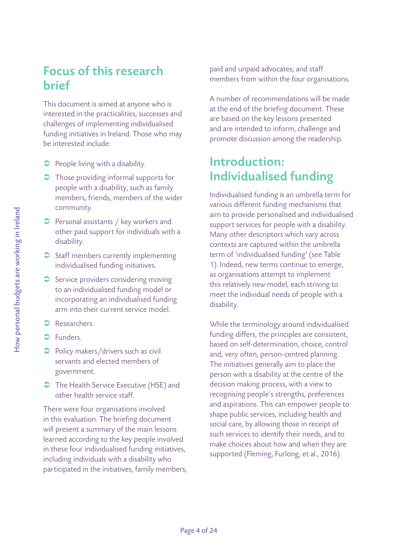### Focus of this research brief

This document is aimed at anyone who is interested in the practicalities, successes and challenges of implementing individualised funding initiatives in Ireland. Those who may be interested include:

- **•** People living with a disability.
- $\supset$  Those providing informal supports for people with a disability, such as family members, friends, members of the wider community.
- $\supset$  Personal assistants / key workers and other paid support for individuals with a disability.
- $\supset$  Staff members currently implementing individualised funding initiatives.
- $\supset$  Service providers considering moving to an individualised funding model or incorporating an individualised funding arm into their current service model.
- **C** Researchers.
- $\supset$  Funders.
- $\supset$  Policy makers/drivers such as civil servants and elected members of government.
- **The Health Service Executive (HSE) and** other health service staff.

There were four organisations involved in this evaluation. The briefing document will present a summary of the main lessons learned according to the key people involved in these four individualised funding initiatives, including individuals with a disability who participated in the initiatives, family members, paid and unpaid advocates; and staff members from within the four organisations.

A number of recommendations will be made at the end of the briefing document. These are based on the key lessons presented and are intended to inform, challenge and promote discussion among the readership.

### Introduction: Individualised funding

Individualised funding is an umbrella term for various different funding mechanisms that aim to provide personalised and individualised support services for people with a disability. Many other descriptors which vary across contexts are captured within the umbrella term of 'individualised funding' (see Table 1). Indeed, new terms continue to emerge, as organisations attempt to implement this relatively new model, each striving to meet the individual needs of people with a disability.

While the terminology around individualised funding differs, the principles are consistent, based on self-determination, choice, control and, very often, person-centred planning. The initiatives generally aim to place the person with a disability at the centre of the decision making process, with a view to recognising people's strengths, preferences and aspirations. This can empower people to shape public services, including health and social care, by allowing those in receipt of such services to identify their needs, and to make choices about how and when they are supported (Fleming, Furlong, et al., 2016).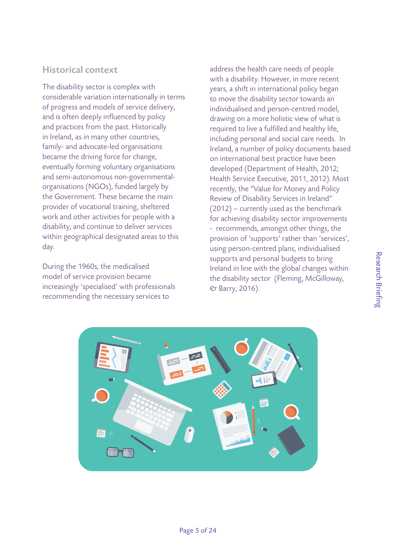The disability sector is complex with considerable variation internationally in terms of progress and models of service delivery, and is often deeply influenced by policy and practices from the past. Historically in Ireland, as in many other countries, family- and advocate-led organisations became the driving force for change, eventually forming voluntary organisations and semi-autonomous non-governmentalorganisations (NGOs), funded largely by the Government. These became the main provider of vocational training, sheltered work and other activities for people with a disability, and continue to deliver services within geographical designated areas to this day.

During the 1960s, the medicalised model of service provision became increasingly 'specialised' with professionals recommending the necessary services to

address the health care needs of people with a disability. However, in more recent years, a shift in international policy began to move the disability sector towards an individualised and person-centred model, drawing on a more holistic view of what is required to live a fulfilled and healthy life, including personal and social care needs. In Ireland, a number of policy documents based on international best practice have been developed (Department of Health, 2012; Health Service Executive, 2011, 2012). Most recently, the "Value for Money and Policy Review of Disability Services in Ireland" (2012) – currently used as the benchmark for achieving disability sector improvements - recommends, amongst other things, the provision of 'supports' rather than 'services', using person-centred plans, individualised supports and personal budgets to bring Ireland in line with the global changes within the disability sector (Fleming, McGilloway, & Barry, 2016).

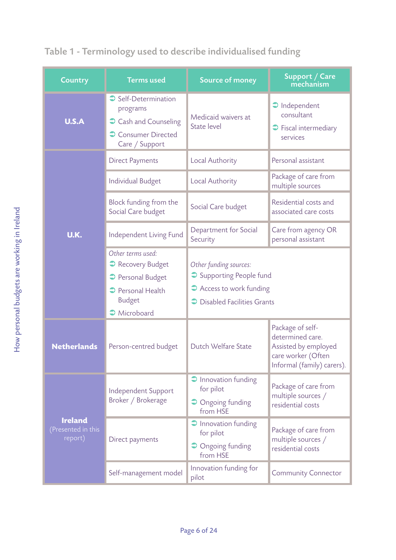| <b>Country</b>                                  | <b>Terms used</b>                                                                            | <b>Source of money</b>                                         | Support / Care<br>mechanism                                                                                      |  |
|-------------------------------------------------|----------------------------------------------------------------------------------------------|----------------------------------------------------------------|------------------------------------------------------------------------------------------------------------------|--|
| <b>U.S.A</b>                                    | Self-Determination<br>programs<br>Cash and Counseling<br>Consumer Directed<br>Care / Support | Medicaid waivers at<br>State level                             | $\supset$ Independent<br>consultant<br>$\supset$ Fiscal intermediary<br>services                                 |  |
|                                                 | <b>Direct Payments</b>                                                                       | Local Authority                                                | Personal assistant                                                                                               |  |
|                                                 | Individual Budget                                                                            | Local Authority                                                | Package of care from<br>multiple sources                                                                         |  |
|                                                 | Block funding from the<br>Social Care budget                                                 | Social Care budget                                             | Residential costs and<br>associated care costs                                                                   |  |
| U.K.                                            | Independent Living Fund                                                                      | Department for Social<br>Security                              | Care from agency OR<br>personal assistant                                                                        |  |
|                                                 | Other terms used:<br>Recovery Budget                                                         | Other funding sources:                                         |                                                                                                                  |  |
|                                                 | Personal Budget                                                                              | Supporting People fund                                         |                                                                                                                  |  |
|                                                 | Personal Health<br><b>Budget</b>                                                             | Access to work funding<br>→ Disabled Facilities Grants         |                                                                                                                  |  |
|                                                 | Microboard                                                                                   |                                                                |                                                                                                                  |  |
| <b>Netherlands</b>                              | Person-centred budget                                                                        | Dutch Welfare State                                            | Package of self-<br>determined care.<br>Assisted by employed<br>care worker (Often<br>Informal (family) carers). |  |
|                                                 | Independent Support<br>Broker / Brokerage                                                    | $\supset$ Innovation funding<br>for pilot<br>• Ongoing funding | Package of care from<br>multiple sources /<br>residential costs                                                  |  |
|                                                 |                                                                                              | from HSE                                                       |                                                                                                                  |  |
| <b>Ireland</b><br>(Presented in this<br>report) | Direct payments                                                                              | $\supset$ Innovation funding<br>for pilot                      | Package of care from<br>multiple sources /<br>residential costs                                                  |  |
|                                                 |                                                                                              | • Ongoing funding<br>from HSE                                  |                                                                                                                  |  |
|                                                 | Self-management model                                                                        | Innovation funding for<br>pilot                                | <b>Community Connector</b>                                                                                       |  |

### Table 1 - Terminology used to describe individualised funding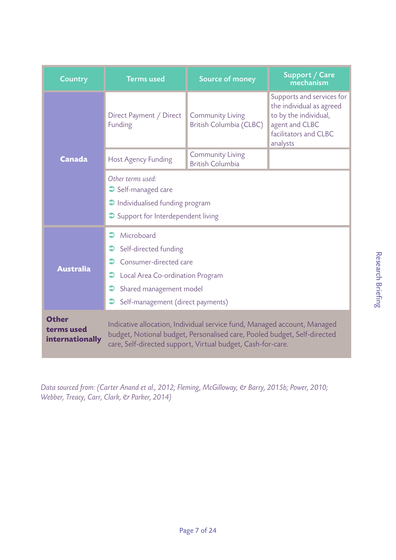| <b>Country</b>                                | <b>Terms used</b>                                                                                                                                                                                                   | <b>Source of money</b>                             | <b>Support / Care</b><br>mechanism                                                                                                    |  |
|-----------------------------------------------|---------------------------------------------------------------------------------------------------------------------------------------------------------------------------------------------------------------------|----------------------------------------------------|---------------------------------------------------------------------------------------------------------------------------------------|--|
|                                               | Direct Payment / Direct<br>Funding                                                                                                                                                                                  | <b>Community Living</b><br>British Columbia (CLBC) | Supports and services for<br>the individual as agreed<br>to by the individual,<br>agent and CLBC<br>facilitators and CLBC<br>analysts |  |
| Canada                                        | Host Agency Funding                                                                                                                                                                                                 | <b>Community Living</b><br><b>British Columbia</b> |                                                                                                                                       |  |
|                                               | Other terms used:<br>Self-managed care<br>Individualised funding program<br>Support for Interdependent living                                                                                                       |                                                    |                                                                                                                                       |  |
| <b>Australia</b>                              | Microboard<br>Self-directed funding<br>Consumer-directed care<br>Local Area Co-ordination Program<br>Shared management model<br>Self-management (direct payments)                                                   |                                                    |                                                                                                                                       |  |
| <b>Other</b><br>terms used<br>internationally | Indicative allocation, Individual service fund, Managed account, Managed<br>budget, Notional budget, Personalised care, Pooled budget, Self-directed<br>care, Self-directed support, Virtual budget, Cash-for-care. |                                                    |                                                                                                                                       |  |

Data sourced from: (Carter Anand et al., 2012; Fleming, McGilloway, & Barry, 2015b; Power, 2010; Webber, Treacy, Carr, Clark, & Parker, 2014)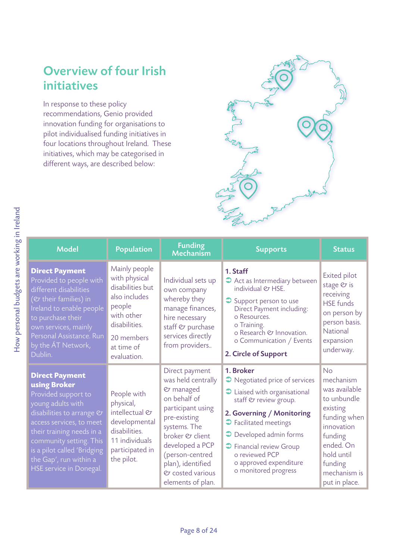# Overview of four Irish initiatives

In response to these policy recommendations, Genio provided innovation funding for organisations to pilot individualised funding initiatives in four locations throughout Ireland. These initiatives, which may be categorised in different ways, are described below:



| <b>Model</b>                                                                                                                                                                                                                                                                           | <b>Population</b>                                                                                                                                       | <b>Funding</b><br>Mechanism                                                                                                                                                                                                                   | <b>Supports</b>                                                                                                                                                                                                                                                                                            | <b>Status</b>                                                                                                                                                               |
|----------------------------------------------------------------------------------------------------------------------------------------------------------------------------------------------------------------------------------------------------------------------------------------|---------------------------------------------------------------------------------------------------------------------------------------------------------|-----------------------------------------------------------------------------------------------------------------------------------------------------------------------------------------------------------------------------------------------|------------------------------------------------------------------------------------------------------------------------------------------------------------------------------------------------------------------------------------------------------------------------------------------------------------|-----------------------------------------------------------------------------------------------------------------------------------------------------------------------------|
| <b>Direct Payment</b><br>Provided to people with<br>different disabilities<br>(& their families) in<br>Ireland to enable people<br>to purchase their<br>own services, mainly<br>Personal Assistance. Run<br>by the AT Network,<br>Dublin.                                              | Mainly people<br>with physical<br>disabilities but<br>also includes<br>people<br>with other<br>disabilities.<br>20 members<br>at time of<br>evaluation. | Individual sets up<br>own company<br>whereby they<br>manage finances,<br>hire necessary<br>staff & purchase<br>services directly<br>from providers                                                                                            | 1. Staff<br>Act as Intermediary between<br>individual & HSE.<br>Support person to use<br>Direct Payment including:<br>o Resources.<br>o Training.<br>o Research & Innovation.<br>o Communication / Events<br>2. Circle of Support                                                                          | Exited pilot<br>stage $\mathfrak C$ is<br>receiving<br><b>HSE</b> funds<br>on person by<br>person basis.<br>National<br>expansion<br>underway.                              |
| <b>Direct Payment</b><br>using Broker<br>Provided support to<br>young adults with<br>disabilities to arrange &<br>access services, to meet<br>their training needs in a<br>community setting. This<br>is a pilot called 'Bridging<br>the Gap', run within a<br>HSE service in Donegal. | People with<br>physical,<br>intellectual &<br>developmental<br>disabilities.<br>11 individuals<br>participated in<br>the pilot.                         | Direct payment<br>was held centrally<br>& managed<br>on behalf of<br>participant using<br>pre-existing<br>systems. The<br>broker & client<br>developed a PCP<br>(person-centred<br>plan), identified<br>& costed various<br>elements of plan. | 1. Broker<br>Regotiated price of services<br>$\bullet$ Liaised with organisational<br>staff & review group.<br>2. Governing / Monitoring<br>$\bullet$ Facilitated meetings<br><b>O</b> Developed admin forms<br>Sinancial review Group<br>o reviewed PCP<br>o approved expenditure<br>o monitored progress | No<br>mechanism<br>was available<br>to unbundle<br>existing<br>funding when<br>innovation<br>funding<br>ended. On<br>hold until<br>funding<br>mechanism is<br>put in place. |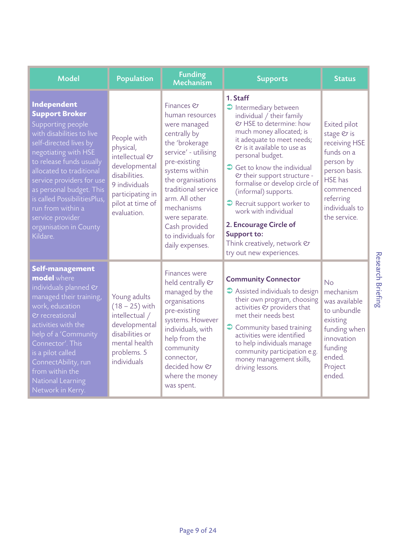| <b>Model</b>                                                                                                                                                                                                                                                                                                                                                             | <b>Population</b>                                                                                                                                    | <b>Funding</b><br>Mechanism                                                                                                                                                                                                                                                                       | <b>Supports</b>                                                                                                                                                                                                                                                                                                                                                                                                                                                                                                     | <b>Status</b>                                                                                                                                                         |
|--------------------------------------------------------------------------------------------------------------------------------------------------------------------------------------------------------------------------------------------------------------------------------------------------------------------------------------------------------------------------|------------------------------------------------------------------------------------------------------------------------------------------------------|---------------------------------------------------------------------------------------------------------------------------------------------------------------------------------------------------------------------------------------------------------------------------------------------------|---------------------------------------------------------------------------------------------------------------------------------------------------------------------------------------------------------------------------------------------------------------------------------------------------------------------------------------------------------------------------------------------------------------------------------------------------------------------------------------------------------------------|-----------------------------------------------------------------------------------------------------------------------------------------------------------------------|
| Independent<br><b>Support Broker</b><br>Supporting people<br>with disabilities to live<br>self-directed lives by<br>negotiating with HSE<br>to release funds usually<br>allocated to traditional<br>service providers for use<br>as personal budget. This<br>is called PossibilitiesPlus,<br>run from within a<br>service provider<br>organisation in County<br>Kildare. | People with<br>physical,<br>intellectual &<br>developmental<br>disabilities.<br>9 individuals<br>participating in<br>pilot at time of<br>evaluation. | Finances &<br>human resources<br>were managed<br>centrally by<br>the 'brokerage<br>service' - utilising<br>pre-existing<br>systems within<br>the organisations<br>traditional service<br>arm. All other<br>mechanisms<br>were separate.<br>Cash provided<br>to individuals for<br>daily expenses. | 1. Staff<br>$\supset$ Intermediary between<br>individual / their family<br>& HSE to determine: how<br>much money allocated; is<br>it adequate to meet needs;<br>& is it available to use as<br>personal budget.<br>$\bigcirc$ Get to know the individual<br>etheir support structure -<br>formalise or develop circle of<br>(informal) supports.<br>$\bullet$ Recruit support worker to<br>work with individual<br>2. Encourage Circle of<br>Support to:<br>Think creatively, network &<br>try out new experiences. | Exited pilot<br>stage & is<br>receiving HSE<br>funds on a<br>person by<br>person basis.<br><b>HSE</b> has<br>commenced<br>referring<br>individuals to<br>the service. |
| Self-management<br>model where<br>individuals planned &<br>managed their training,<br>work, education<br>$Q$ recreational<br>activities with the<br>help of a 'Community<br>Connector'. This<br>is a pilot called<br>ConnectAbility, run<br>from within the<br>National Learning<br>Network in Kerry.                                                                    | Young adults<br>$(18 - 25)$ with<br>intellectual /<br>developmental<br>disabilities or<br>mental health<br>problems. 5<br>individuals                | Finances were<br>held centrally &<br>managed by the<br>organisations<br>pre-existing<br>systems. However<br>individuals, with<br>help from the<br>community<br>connector,<br>decided how &<br>where the money<br>was spent.                                                                       | <b>Community Connector</b><br>$\bullet$ Assisted individuals to design<br>their own program, choosing<br>activities & providers that<br>met their needs best<br>Community based training<br>activities were identified<br>to help individuals manage<br>community participation e.g.<br>money management skills,<br>driving lessons.                                                                                                                                                                                | No<br>mechanism<br>was available<br>to unbundle<br>existing<br>funding when<br>innovation<br>funding<br>ended.<br>Project<br>ended.                                   |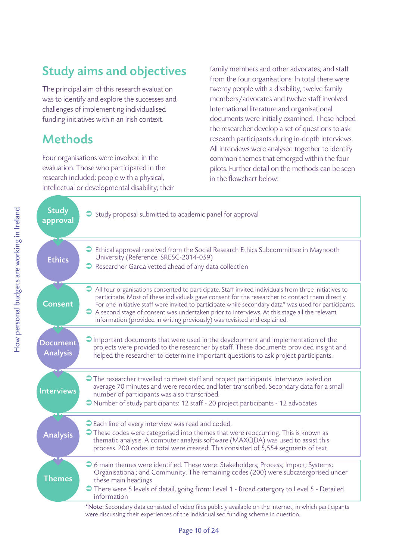# Study aims and objectives

The principal aim of this research evaluation was to identify and explore the successes and challenges of implementing individualised funding initiatives within an Irish context.

## Methods

Four organisations were involved in the evaluation. Those who participated in the research included: people with a physical, intellectual or developmental disability; their family members and other advocates; and staff from the four organisations. In total there were twenty people with a disability, twelve family members/advocates and twelve staff involved. International literature and organisational documents were initially examined. These helped the researcher develop a set of questions to ask research participants during in-depth interviews. All interviews were analysed together to identify common themes that emerged within the four pilots. Further detail on the methods can be seen in the flowchart below:

| <b>Study</b><br>approval    | Study proposal submitted to academic panel for approval                                                                                                                                                                                                                                                                                                                                                                                                                                        |
|-----------------------------|------------------------------------------------------------------------------------------------------------------------------------------------------------------------------------------------------------------------------------------------------------------------------------------------------------------------------------------------------------------------------------------------------------------------------------------------------------------------------------------------|
| <b>Ethics</b>               | $\supset$ Ethical approval received from the Social Research Ethics Subcommittee in Maynooth<br>University (Reference: SRESC-2014-059)<br>Researcher Garda vetted ahead of any data collection                                                                                                                                                                                                                                                                                                 |
| <b>Consent</b>              | All four organisations consented to participate. Staff invited individuals from three initiatives to<br>participate. Most of these individuals gave consent for the researcher to contact them directly.<br>For one initiative staff were invited to participate while secondary data* was used for participants.<br>A second stage of consent was undertaken prior to interviews. At this stage all the relevant<br>information (provided in writing previously) was revisited and explained. |
| Document<br><b>Analysis</b> | $\bigcirc$ Important documents that were used in the development and implementation of the<br>projects were provided to the researcher by staff. These documents provided insight and<br>helped the researcher to determine important questions to ask project participants.                                                                                                                                                                                                                   |
| <b>Interviews</b>           | The researcher travelled to meet staff and project participants. Interviews lasted on<br>average 70 minutes and were recorded and later transcribed. Secondary data for a small<br>number of participants was also transcribed.<br>Number of study participants: 12 staff - 20 project participants - 12 advocates                                                                                                                                                                             |
| <b>Analysis</b>             | Cach line of every interview was read and coded.<br>These codes were categorised into themes that were reoccurring. This is known as<br>thematic analysis. A computer analysis software (MAXQDA) was used to assist this<br>process. 200 codes in total were created. This consisted of 5,554 segments of text.                                                                                                                                                                                |
| <b>Themes</b>               | → 6 main themes were identified. These were: Stakeholders; Process; Impact; Systems;<br>Organisational; and Community. The remaining codes (200) were subcatergorised under<br>these main headings<br>There were 5 levels of detail, going from: Level 1 - Broad catergory to Level 5 - Detailed<br>information                                                                                                                                                                                |
|                             | *Note: Secondary data consisted of video files publicly available on the internet, in which participants<br>were discussing their experiences of the individualised funding scheme in question.                                                                                                                                                                                                                                                                                                |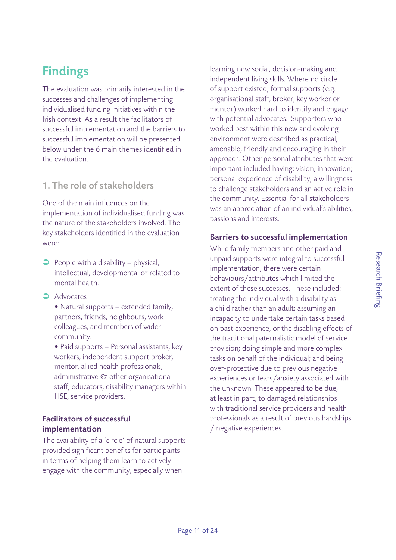# Findings

The evaluation was primarily interested in the successes and challenges of implementing individualised funding initiatives within the Irish context. As a result the facilitators of successful implementation and the barriers to successful implementation will be presented below under the 6 main themes identified in the evaluation.

#### 1. The role of stakeholders

One of the main influences on the implementation of individualised funding was the nature of the stakeholders involved. The key stakeholders identified in the evaluation were:

- $\supset$  People with a disability physical, intellectual, developmental or related to mental health.
- $\rightarrow$  Advocates
	- Natural supports extended family, partners, friends, neighbours, work colleagues, and members of wider community.
	- Paid supports Personal assistants, key workers, independent support broker, mentor, allied health professionals, administrative  $\mathfrak O$  other organisational staff, educators, disability managers within HSE, service providers.

#### Facilitators of successful implementation

The availability of a 'circle' of natural supports provided significant benefits for participants in terms of helping them learn to actively engage with the community, especially when

learning new social, decision-making and independent living skills. Where no circle of support existed, formal supports (e.g. organisational staff, broker, key worker or mentor) worked hard to identify and engage with potential advocates. Supporters who worked best within this new and evolving environment were described as practical, amenable, friendly and encouraging in their approach. Other personal attributes that were important included having: vision; innovation; personal experience of disability; a willingness to challenge stakeholders and an active role in the community. Essential for all stakeholders was an appreciation of an individual's abilities, passions and interests.

#### Barriers to successful implementation

While family members and other paid and unpaid supports were integral to successful implementation, there were certain behaviours/attributes which limited the extent of these successes. These included: treating the individual with a disability as a child rather than an adult; assuming an incapacity to undertake certain tasks based on past experience, or the disabling effects of the traditional paternalistic model of service provision; doing simple and more complex tasks on behalf of the individual; and being over-protective due to previous negative experiences or fears/anxiety associated with the unknown. These appeared to be due, at least in part, to damaged relationships with traditional service providers and health professionals as a result of previous hardships / negative experiences.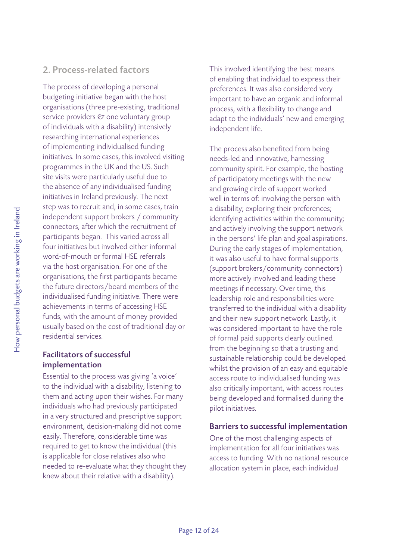#### 2. Process-related factors

The process of developing a personal budgeting initiative began with the host organisations (three pre-existing, traditional service providers  $\mathfrak O$  one voluntary group of individuals with a disability) intensively researching international experiences of implementing individualised funding initiatives. In some cases, this involved visiting programmes in the UK and the US. Such site visits were particularly useful due to the absence of any individualised funding initiatives in Ireland previously. The next step was to recruit and, in some cases, train independent support brokers / community connectors, after which the recruitment of participants began. This varied across all four initiatives but involved either informal word-of-mouth or formal HSE referrals via the host organisation. For one of the organisations, the first participants became the future directors/board members of the individualised funding initiative. There were achievements in terms of accessing HSE funds, with the amount of money provided usually based on the cost of traditional day or residential services.

#### Facilitators of successful implementation

Essential to the process was giving 'a voice' to the individual with a disability, listening to them and acting upon their wishes. For many individuals who had previously participated in a very structured and prescriptive support environment, decision-making did not come easily. Therefore, considerable time was required to get to know the individual (this is applicable for close relatives also who needed to re-evaluate what they thought they knew about their relative with a disability).

This involved identifying the best means of enabling that individual to express their preferences. It was also considered very important to have an organic and informal process, with a flexibility to change and adapt to the individuals' new and emerging independent life.

The process also benefited from being needs-led and innovative, harnessing community spirit. For example, the hosting of participatory meetings with the new and growing circle of support worked well in terms of: involving the person with a disability; exploring their preferences; identifying activities within the community; and actively involving the support network in the persons' life plan and goal aspirations. During the early stages of implementation, it was also useful to have formal supports (support brokers/community connectors) more actively involved and leading these meetings if necessary. Over time, this leadership role and responsibilities were transferred to the individual with a disability and their new support network. Lastly, it was considered important to have the role of formal paid supports clearly outlined from the beginning so that a trusting and sustainable relationship could be developed whilst the provision of an easy and equitable access route to individualised funding was also critically important, with access routes being developed and formalised during the pilot initiatives.

#### Barriers to successful implementation

One of the most challenging aspects of implementation for all four initiatives was access to funding. With no national resource allocation system in place, each individual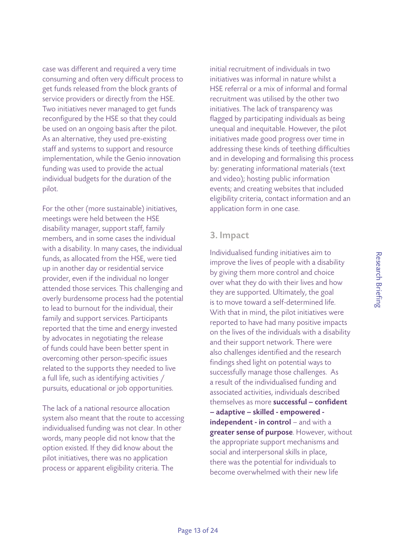Research Briefing

Research Briefing

case was different and required a very time consuming and often very difficult process to get funds released from the block grants of service providers or directly from the HSE. Two initiatives never managed to get funds reconfigured by the HSE so that they could be used on an ongoing basis after the pilot. As an alternative, they used pre-existing staff and systems to support and resource implementation, while the Genio innovation funding was used to provide the actual individual budgets for the duration of the pilot.

For the other (more sustainable) initiatives, meetings were held between the HSE disability manager, support staff, family members, and in some cases the individual with a disability. In many cases, the individual funds, as allocated from the HSE, were tied up in another day or residential service provider, even if the individual no longer attended those services. This challenging and overly burdensome process had the potential to lead to burnout for the individual, their family and support services. Participants reported that the time and energy invested by advocates in negotiating the release of funds could have been better spent in overcoming other person-specific issues related to the supports they needed to live a full life, such as identifying activities / pursuits, educational or job opportunities.

The lack of a national resource allocation system also meant that the route to accessing individualised funding was not clear. In other words, many people did not know that the option existed. If they did know about the pilot initiatives, there was no application process or apparent eligibility criteria. The

initial recruitment of individuals in two initiatives was informal in nature whilst a HSE referral or a mix of informal and formal recruitment was utilised by the other two initiatives. The lack of transparency was flagged by participating individuals as being unequal and inequitable. However, the pilot initiatives made good progress over time in addressing these kinds of teething difficulties and in developing and formalising this process by: generating informational materials (text and video); hosting public information events; and creating websites that included eligibility criteria, contact information and an application form in one case.

#### 3. Impact

Individualised funding initiatives aim to improve the lives of people with a disability by giving them more control and choice over what they do with their lives and how they are supported. Ultimately, the goal is to move toward a self-determined life. With that in mind, the pilot initiatives were reported to have had many positive impacts on the lives of the individuals with a disability and their support network. There were also challenges identified and the research findings shed light on potential ways to successfully manage those challenges. As a result of the individualised funding and associated activities, individuals described themselves as more successful - confident – adaptive – skilled - empowered independent - in control – and with a greater sense of purpose. However, without the appropriate support mechanisms and social and interpersonal skills in place, there was the potential for individuals to become overwhelmed with their new life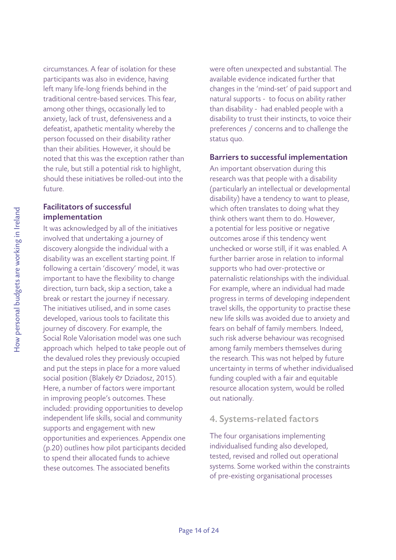circumstances. A fear of isolation for these participants was also in evidence, having left many life-long friends behind in the traditional centre-based services. This fear, among other things, occasionally led to anxiety, lack of trust, defensiveness and a defeatist, apathetic mentality whereby the person focussed on their disability rather than their abilities. However, it should be noted that this was the exception rather than the rule, but still a potential risk to highlight, should these initiatives be rolled-out into the future.

#### Facilitators of successful implementation

It was acknowledged by all of the initiatives involved that undertaking a journey of discovery alongside the individual with a disability was an excellent starting point. If following a certain 'discovery' model, it was important to have the flexibility to change direction, turn back, skip a section, take a break or restart the journey if necessary. The initiatives utilised, and in some cases developed, various tools to facilitate this journey of discovery. For example, the Social Role Valorisation model was one such approach which helped to take people out of the devalued roles they previously occupied and put the steps in place for a more valued social position (Blakely & Dziadosz, 2015). Here, a number of factors were important in improving people's outcomes. These included: providing opportunities to develop independent life skills, social and community supports and engagement with new opportunities and experiences. Appendix one (p.20) outlines how pilot participants decided to spend their allocated funds to achieve these outcomes. The associated benefits

were often unexpected and substantial. The available evidence indicated further that changes in the 'mind-set' of paid support and natural supports - to focus on ability rather than disability - had enabled people with a disability to trust their instincts, to voice their preferences / concerns and to challenge the status quo.

#### Barriers to successful implementation

An important observation during this research was that people with a disability (particularly an intellectual or developmental disability) have a tendency to want to please, which often translates to doing what they think others want them to do. However, a potential for less positive or negative outcomes arose if this tendency went unchecked or worse still, if it was enabled. A further barrier arose in relation to informal supports who had over-protective or paternalistic relationships with the individual. For example, where an individual had made progress in terms of developing independent travel skills, the opportunity to practise these new life skills was avoided due to anxiety and fears on behalf of family members. Indeed, such risk adverse behaviour was recognised among family members themselves during the research. This was not helped by future uncertainty in terms of whether individualised funding coupled with a fair and equitable resource allocation system, would be rolled out nationally.

#### 4. Systems-related factors

The four organisations implementing individualised funding also developed, tested, revised and rolled out operational systems. Some worked within the constraints of pre-existing organisational processes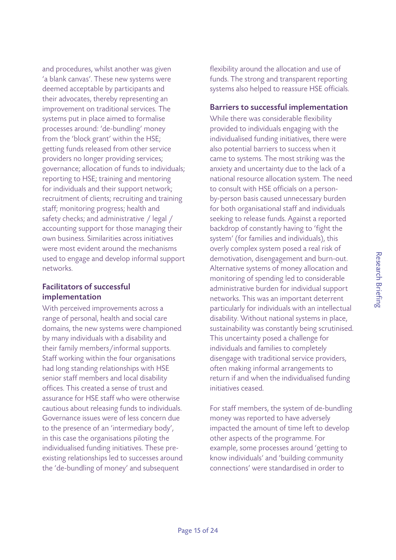and procedures, whilst another was given 'a blank canvas'. These new systems were deemed acceptable by participants and their advocates, thereby representing an improvement on traditional services. The systems put in place aimed to formalise processes around: 'de-bundling' money from the 'block grant' within the HSE; getting funds released from other service providers no longer providing services; governance; allocation of funds to individuals; reporting to HSE; training and mentoring for individuals and their support network; recruitment of clients; recruiting and training staff; monitoring progress; health and safety checks; and administrative / legal / accounting support for those managing their own business. Similarities across initiatives were most evident around the mechanisms used to engage and develop informal support networks.

#### Facilitators of successful implementation

With perceived improvements across a range of personal, health and social care domains, the new systems were championed by many individuals with a disability and their family members/informal supports. Staff working within the four organisations had long standing relationships with HSE senior staff members and local disability offices. This created a sense of trust and assurance for HSE staff who were otherwise cautious about releasing funds to individuals. Governance issues were of less concern due to the presence of an 'intermediary body', in this case the organisations piloting the individualised funding initiatives. These preexisting relationships led to successes around the 'de-bundling of money' and subsequent

flexibility around the allocation and use of funds. The strong and transparent reporting systems also helped to reassure HSE officials.

#### Barriers to successful implementation

While there was considerable flexibility provided to individuals engaging with the individualised funding initiatives, there were also potential barriers to success when it came to systems. The most striking was the anxiety and uncertainty due to the lack of a national resource allocation system. The need to consult with HSE officials on a personby-person basis caused unnecessary burden for both organisational staff and individuals seeking to release funds. Against a reported backdrop of constantly having to 'fight the system' (for families and individuals), this overly complex system posed a real risk of demotivation, disengagement and burn-out. Alternative systems of money allocation and monitoring of spending led to considerable administrative burden for individual support networks. This was an important deterrent particularly for individuals with an intellectual disability. Without national systems in place, sustainability was constantly being scrutinised. This uncertainty posed a challenge for individuals and families to completely disengage with traditional service providers, often making informal arrangements to return if and when the individualised funding initiatives ceased.

For staff members, the system of de-bundling money was reported to have adversely impacted the amount of time left to develop other aspects of the programme. For example, some processes around 'getting to know individuals' and 'building community connections' were standardised in order to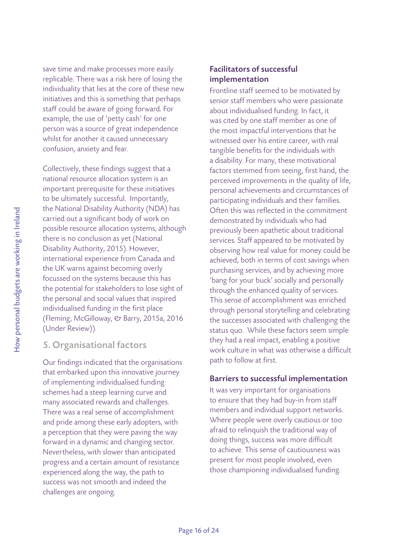save time and make processes more easily replicable. There was a risk here of losing the individuality that lies at the core of these new initiatives and this is something that perhaps staff could be aware of going forward. For example, the use of 'petty cash' for one person was a source of great independence whilst for another it caused unnecessary confusion, anxiety and fear.

Collectively, these findings suggest that a national resource allocation system is an important prerequisite for these initiatives to be ultimately successful. Importantly, the National Disability Authority (NDA) has carried out a significant body of work on possible resource allocation systems, although there is no conclusion as yet (National Disability Authority, 2015). However, international experience from Canada and the UK warns against becoming overly focussed on the systems because this has the potential for stakeholders to lose sight of the personal and social values that inspired individualised funding in the first place (Fleming, McGilloway, & Barry, 2015a, 2016 (Under Review)).

#### 5. Organisational factors

Our findings indicated that the organisations that embarked upon this innovative journey of implementing individualised funding schemes had a steep learning curve and many associated rewards and challenges. There was a real sense of accomplishment and pride among these early adopters, with a perception that they were paving the way forward in a dynamic and changing sector. Nevertheless, with slower than anticipated progress and a certain amount of resistance experienced along the way, the path to success was not smooth and indeed the challenges are ongoing.

#### Facilitators of successful implementation

Frontline staff seemed to be motivated by senior staff members who were passionate about individualised funding. In fact, it was cited by one staff member as one of the most impactful interventions that he witnessed over his entire career, with real tangible benefits for the individuals with a disability. For many, these motivational factors stemmed from seeing, first hand, the perceived improvements in the quality of life, personal achievements and circumstances of participating individuals and their families. Often this was reflected in the commitment demonstrated by individuals who had previously been apathetic about traditional services. Staff appeared to be motivated by observing how real value for money could be achieved, both in terms of cost savings when purchasing services, and by achieving more 'bang for your buck' socially and personally through the enhanced quality of services. This sense of accomplishment was enriched through personal storytelling and celebrating the successes associated with challenging the status quo. While these factors seem simple they had a real impact, enabling a positive work culture in what was otherwise a difficult path to follow at first.

#### Barriers to successful implementation

It was very important for organisations to ensure that they had buy-in from staff members and individual support networks. Where people were overly cautious or too afraid to relinquish the traditional way of doing things, success was more difficult to achieve. This sense of cautiousness was present for most people involved, even those championing individualised funding.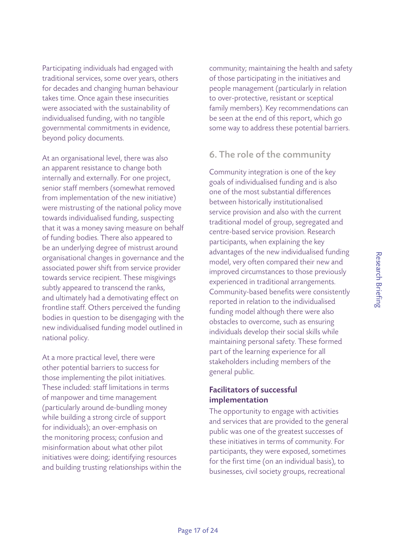Research Briefing

Research Briefing

Participating individuals had engaged with traditional services, some over years, others for decades and changing human behaviour takes time. Once again these insecurities were associated with the sustainability of individualised funding, with no tangible governmental commitments in evidence, beyond policy documents.

At an organisational level, there was also an apparent resistance to change both internally and externally. For one project, senior staff members (somewhat removed from implementation of the new initiative) were mistrusting of the national policy move towards individualised funding, suspecting that it was a money saving measure on behalf of funding bodies. There also appeared to be an underlying degree of mistrust around organisational changes in governance and the associated power shift from service provider towards service recipient. These misgivings subtly appeared to transcend the ranks, and ultimately had a demotivating effect on frontline staff. Others perceived the funding bodies in question to be disengaging with the new individualised funding model outlined in national policy.

At a more practical level, there were other potential barriers to success for those implementing the pilot initiatives. These included: staff limitations in terms of manpower and time management (particularly around de-bundling money while building a strong circle of support for individuals); an over-emphasis on the monitoring process; confusion and misinformation about what other pilot initiatives were doing; identifying resources and building trusting relationships within the community; maintaining the health and safety of those participating in the initiatives and people management (particularly in relation to over-protective, resistant or sceptical family members). Key recommendations can be seen at the end of this report, which go some way to address these potential barriers.

#### 6. The role of the community

Community integration is one of the key goals of individualised funding and is also one of the most substantial differences between historically institutionalised service provision and also with the current traditional model of group, segregated and centre-based service provision. Research participants, when explaining the key advantages of the new individualised funding model, very often compared their new and improved circumstances to those previously experienced in traditional arrangements. Community-based benefits were consistently reported in relation to the individualised funding model although there were also obstacles to overcome, such as ensuring individuals develop their social skills while maintaining personal safety. These formed part of the learning experience for all stakeholders including members of the general public.

#### Facilitators of successful implementation

The opportunity to engage with activities and services that are provided to the general public was one of the greatest successes of these initiatives in terms of community. For participants, they were exposed, sometimes for the first time (on an individual basis), to businesses, civil society groups, recreational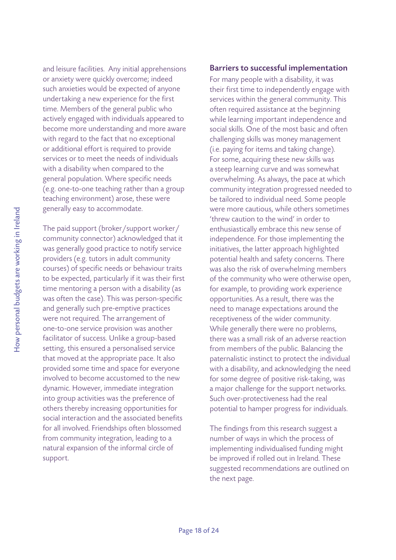and leisure facilities. Any initial apprehensions or anxiety were quickly overcome; indeed such anxieties would be expected of anyone undertaking a new experience for the first time. Members of the general public who actively engaged with individuals appeared to become more understanding and more aware with regard to the fact that no exceptional or additional effort is required to provide services or to meet the needs of individuals with a disability when compared to the general population. Where specific needs (e.g. one-to-one teaching rather than a group teaching environment) arose, these were generally easy to accommodate.

The paid support (broker/support worker/ community connector) acknowledged that it was generally good practice to notify service providers (e.g. tutors in adult community courses) of specific needs or behaviour traits to be expected, particularly if it was their first time mentoring a person with a disability (as was often the case). This was person-specific and generally such pre-emptive practices were not required. The arrangement of one-to-one service provision was another facilitator of success. Unlike a group-based setting, this ensured a personalised service that moved at the appropriate pace. It also provided some time and space for everyone involved to become accustomed to the new dynamic. However, immediate integration into group activities was the preference of others thereby increasing opportunities for social interaction and the associated benefits for all involved. Friendships often blossomed from community integration, leading to a natural expansion of the informal circle of support.

#### Barriers to successful implementation

For many people with a disability, it was their first time to independently engage with services within the general community. This often required assistance at the beginning while learning important independence and social skills. One of the most basic and often challenging skills was money management (i.e. paying for items and taking change). For some, acquiring these new skills was a steep learning curve and was somewhat overwhelming. As always, the pace at which community integration progressed needed to be tailored to individual need. Some people were more cautious, while others sometimes 'threw caution to the wind' in order to enthusiastically embrace this new sense of independence. For those implementing the initiatives, the latter approach highlighted potential health and safety concerns. There was also the risk of overwhelming members of the community who were otherwise open, for example, to providing work experience opportunities. As a result, there was the need to manage expectations around the receptiveness of the wider community. While generally there were no problems, there was a small risk of an adverse reaction from members of the public. Balancing the paternalistic instinct to protect the individual with a disability, and acknowledging the need for some degree of positive risk-taking, was a major challenge for the support networks. Such over-protectiveness had the real potential to hamper progress for individuals.

The findings from this research suggest a number of ways in which the process of implementing individualised funding might be improved if rolled out in Ireland. These suggested recommendations are outlined on the next page.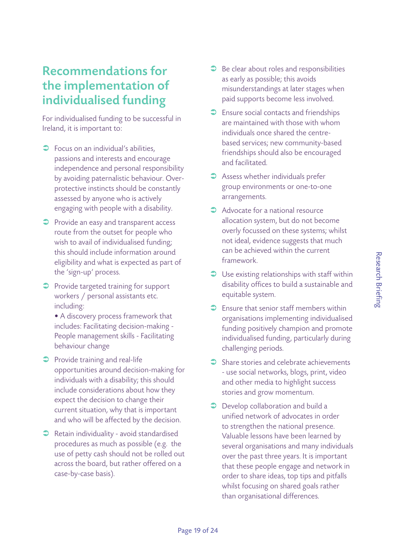### Recommendations for the implementation of individualised funding

For individualised funding to be successful in Ireland, it is important to:

- $\supset$  Focus on an individual's abilities, passions and interests and encourage independence and personal responsibility by avoiding paternalistic behaviour. Overprotective instincts should be constantly assessed by anyone who is actively engaging with people with a disability.
- **•** Provide an easy and transparent access route from the outset for people who wish to avail of individualised funding; this should include information around eligibility and what is expected as part of the 'sign-up' process.
- **•** Provide targeted training for support workers / personal assistants etc. including:
	- A discovery process framework that includes: Facilitating decision-making - People management skills - Facilitating behaviour change
- $\supset$  Provide training and real-life opportunities around decision-making for individuals with a disability; this should include considerations about how they expect the decision to change their current situation, why that is important and who will be affected by the decision.
- $\supset$  Retain individuality avoid standardised procedures as much as possible (e.g. the use of petty cash should not be rolled out across the board, but rather offered on a case-by-case basis).
- $\supset$  Be clear about roles and responsibilities as early as possible; this avoids misunderstandings at later stages when paid supports become less involved.
- $\supset$  Ensure social contacts and friendships are maintained with those with whom individuals once shared the centrebased services; new community-based friendships should also be encouraged and facilitated.
- $\supset$  Assess whether individuals prefer group environments or one-to-one arrangements.
- $\bullet$  Advocate for a national resource allocation system, but do not become overly focussed on these systems; whilst not ideal, evidence suggests that much can be achieved within the current framework.
- $\supset$  Use existing relationships with staff within disability offices to build a sustainable and equitable system.
- $\supset$  Ensure that senior staff members within organisations implementing individualised funding positively champion and promote individualised funding, particularly during challenging periods.
- $\supset$  Share stories and celebrate achievements - use social networks, blogs, print, video and other media to highlight success stories and grow momentum.
- $\supset$  Develop collaboration and build a unified network of advocates in order to strengthen the national presence. Valuable lessons have been learned by several organisations and many individuals over the past three years. It is important that these people engage and network in order to share ideas, top tips and pitfalls whilst focusing on shared goals rather than organisational differences.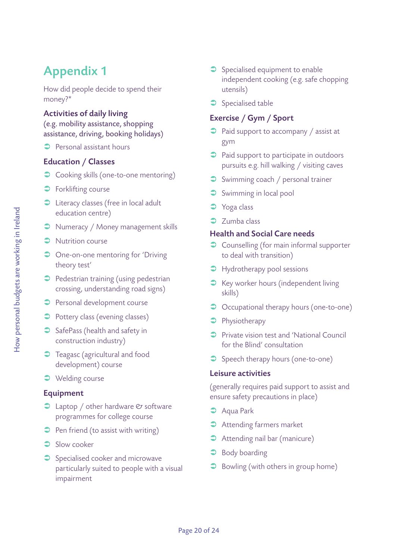# Appendix 1

How did people decide to spend their money?\*

#### Activities of daily living

(e.g. mobility assistance, shopping assistance, driving, booking holidays)

 $\supset$  Personal assistant hours

#### Education / Classes

- Cooking skills (one-to-one mentoring)
- $\supset$  Forklifting course
- C Literacy classes (free in local adult education centre)
- $\supset$  Numeracy / Money management skills
- $\supset$  Nutrition course
- One-on-one mentoring for 'Driving theory test'
- $\supset$  Pedestrian training (using pedestrian crossing, understanding road signs)
- **•** Personal development course
- $\supset$  Pottery class (evening classes)
- $\supset$  SafePass (health and safety in construction industry)
- **C** Teagasc (agricultural and food development) course
- $\supset$  Welding course

#### Equipment

- $\supset$  Laptop / other hardware  $\mathfrak C$  software programmes for college course
- $\supset$  Pen friend (to assist with writing)
- $\supset$  Slow cooker
- $\supset$  Specialised cooker and microwave particularly suited to people with a visual impairment
- $\supset$  Specialised equipment to enable independent cooking (e.g. safe chopping utensils)
- $\supset$  Specialised table

#### Exercise / Gym / Sport

- $\supset$  Paid support to accompany / assist at gym
- Paid support to participate in outdoors pursuits e.g. hill walking / visiting caves
- Swimming coach / personal trainer
- $\supset$  Swimming in local pool
- **C** Yoga class
- $\supset$  Zumba class

#### Health and Social Care needs

- $\supset$  Counselling (for main informal supporter to deal with transition)
- $\supset$  Hydrotherapy pool sessions
- S Key worker hours (independent living skills)
- $\supset$  Occupational therapy hours (one-to-one)
- $\supset$  Physiotherapy
- **•** Private vision test and 'National Council for the Blind' consultation
- Speech therapy hours (one-to-one)

#### Leisure activities

(generally requires paid support to assist and ensure safety precautions in place)

- **C** Aqua Park
- $\rightarrow$  Attending farmers market
- $\rightarrow$  Attending nail bar (manicure)
- $\supset$  Body boarding
- $\supset$  Bowling (with others in group home)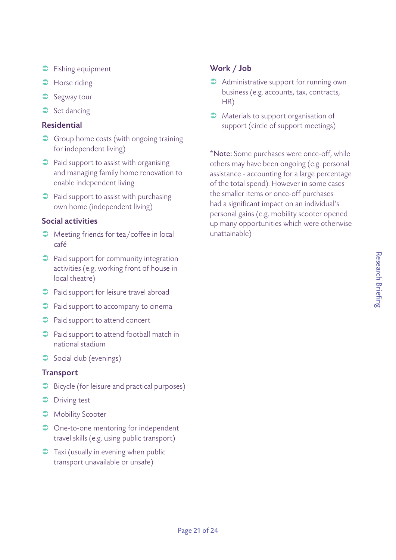- $\supset$  Fishing equipment
- **C** Horse riding
- $\supset$  Segway tour
- $\supset$  Set dancing

#### Residential

- **•** Group home costs (with ongoing training for independent living)
- $\supset$  Paid support to assist with organising and managing family home renovation to enable independent living
- $\supset$  Paid support to assist with purchasing own home (independent living)

#### Social activities

- **•** Meeting friends for tea/coffee in local café
- $\supset$  Paid support for community integration activities (e.g. working front of house in local theatre)
- $\supset$  Paid support for leisure travel abroad
- $\supset$  Paid support to accompany to cinema
- $\supset$  Paid support to attend concert
- $\supset$  Paid support to attend football match in national stadium
- $\supset$  Social club (evenings)

#### **Transport**

- **•** Bicycle (for leisure and practical purposes)
- $\supset$  Driving test
- **A** Mobility Scooter
- One-to-one mentoring for independent travel skills (e.g. using public transport)
- $\supset$  Taxi (usually in evening when public transport unavailable or unsafe)

#### Work / Job

- $\rightarrow$  Administrative support for running own business (e.g. accounts, tax, contracts, HR)
- $\bullet$  Materials to support organisation of support (circle of support meetings)

\*Note: Some purchases were once-off, while others may have been ongoing (e.g. personal assistance - accounting for a large percentage of the total spend). However in some cases the smaller items or once-off purchases had a significant impact on an individual's personal gains (e.g. mobility scooter opened up many opportunities which were otherwise unattainable)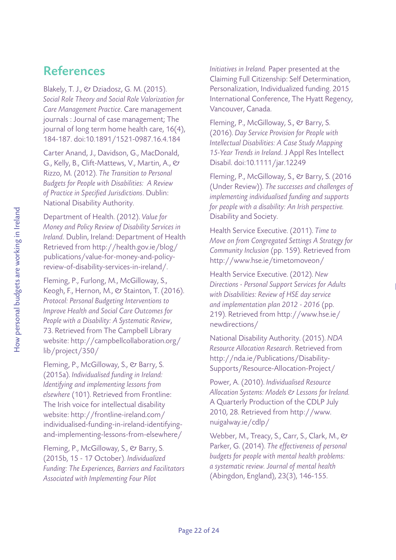### References

Blakely, T. J., & Dziadosz, G. M. (2015). Social Role Theory and Social Role Valorization for Care Management Practice. Care management journals : Journal of case management; The journal of long term home health care, 16(4), 184-187. doi:10.1891/1521-0987.16.4.184

Carter Anand, J., Davidson, G., MacDonald, G., Kelly, B., Clift-Mattews, V., Martin, A., & Rizzo, M. (2012). The Transition to Personal Budgets for People with Disabilities: A Review of Practice in Specified Jurisdictions. Dublin: National Disability Authority.

Department of Health. (2012). Value for Money and Policy Review of Disability Services in Ireland. Dublin, Ireland: Department of Health Retrieved from http://health.gov.ie/blog/ publications/value-for-money-and-policyreview-of-disability-services-in-ireland/.

Fleming, P., Furlong, M., McGilloway, S., Keogh, F., Hernon, M., & Stainton, T. (2016). Protocol: Personal Budgeting Interventions to Improve Health and Social Care Outcomes for People with a Disability: A Systematic Review, 73. Retrieved from The Campbell Library website: http://campbellcollaboration.org/ lib/project/350/

Fleming, P., McGilloway, S., & Barry, S. (2015a). Individualised funding in Ireland: Identifying and implementing lessons from elsewhere (101). Retrieved from Frontline: The Irish voice for intellectual disability website: http://frontline-ireland.com/ individualised-funding-in-ireland-identifyingand-implementing-lessons-from-elsewhere/

Fleming, P., McGilloway, S., & Barry, S. (2015b, 15 - 17 October). Individualized Funding: The Experiences, Barriers and Facilitators Associated with Implementing Four Pilot

Initiatives in Ireland. Paper presented at the Claiming Full Citizenship: Self Determination, Personalization, Individualized funding. 2015 International Conference, The Hyatt Regency, Vancouver, Canada.

Fleming, P., McGilloway, S., & Barry, S. (2016). Day Service Provision for People with Intellectual Disabilities: A Case Study Mapping 15-Year Trends in Ireland. J Appl Res Intellect Disabil. doi:10.1111/jar.12249

Fleming, P., McGilloway, S., & Barry, S. (2016) (Under Review)). The successes and challenges of implementing individualised funding and supports for people with a disability: An Irish perspective. Disability and Society.

Health Service Executive. (2011). Time to Move on from Congregated Settings A Strategy for Community Inclusion (pp. 159). Retrieved from http://www.hse.ie/timetomoveon/

Health Service Executive. (2012). New Directions - Personal Support Services for Adults with Disabilities: Review of HSE day service and implementation plan 2012 - 2016 (pp. 219). Retrieved from http://www.hse.ie/ newdirections/

National Disability Authority. (2015). NDA Resource Allocation Research. Retrieved from http://nda.ie/Publications/Disability-Supports/Resource-Allocation-Project/

Power, A. (2010). Individualised Resource Allocation Systems: Models & Lessons for Ireland. A Quarterly Production of the CDLP July 2010, 28. Retrieved from http://www. nuigalway.ie/cdlp/

Webber, M., Treacy, S., Carr, S., Clark, M., & Parker, G. (2014). The effectiveness of personal budgets for people with mental health problems: a systematic review. Journal of mental health (Abingdon, England), 23(3), 146-155.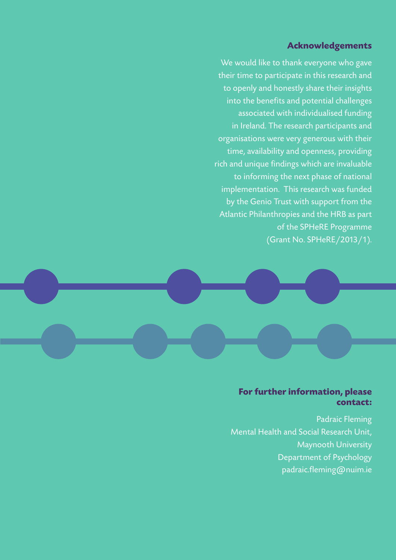#### **Acknowledgements**

We would like to thank everyone who gave their time to participate in this research and to openly and honestly share their insights into the benefits and potential challenges associated with individualised funding in Ireland. The research participants and organisations were very generous with their time, availability and openness, providing rich and unique findings which are invaluable to informing the next phase of national implementation. This research was funded by the Genio Trust with support from the Atlantic Philanthropies and the HRB as part of the SPHeRE Programme (Grant No. SPHeRE/2013/1).



#### **For further information, please contact:**

Padraic Fleming Mental Health and Social Research Unit, Maynooth University Department of Psychology padraic.fleming@nuim.ie